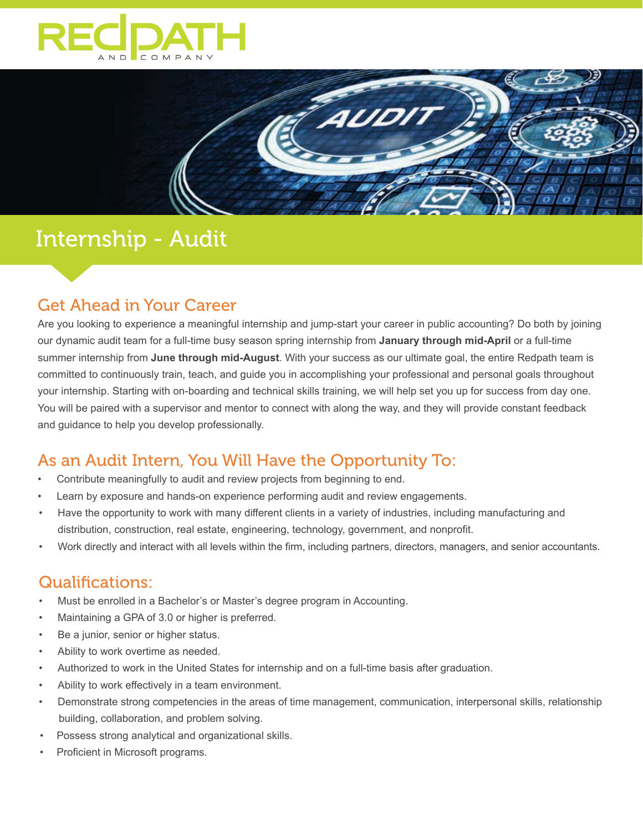



# Internship - Audit

## Get Ahead in Your Career

Are you looking to experience a meaningful internship and jump-start your career in public accounting? Do both by joining our dynamic audit team for a full-time busy season spring internship from **January through mid-April** or a full-time summer internship from **June through mid-August**. With your success as our ultimate goal, the entire Redpath team is committed to continuously train, teach, and guide you in accomplishing your professional and personal goals throughout your internship. Starting with on-boarding and technical skills training, we will help set you up for success from day one. You will be paired with a supervisor and mentor to connect with along the way, and they will provide constant feedback and guidance to help you develop professionally.

## As an Audit Intern, You Will Have the Opportunity To:

- Contribute meaningfully to audit and review projects from beginning to end.
- Learn by exposure and hands-on experience performing audit and review engagements.
- Have the opportunity to work with many different clients in a variety of industries, including manufacturing and distribution, construction, real estate, engineering, technology, government, and nonprofit.
- Work directly and interact with all levels within the firm, including partners, directors, managers, and senior accountants.

## Qualifications:

- Must be enrolled in a Bachelor's or Master's degree program in Accounting.
- Maintaining a GPA of 3.0 or higher is preferred.
- Be a junior, senior or higher status.
- Ability to work overtime as needed.
- Authorized to work in the United States for internship and on a full-time basis after graduation.
- Ability to work effectively in a team environment.
- Demonstrate strong competencies in the areas of time management, communication, interpersonal skills, relationship building, collaboration, and problem solving.
- Possess strong analytical and organizational skills.
- Proficient in Microsoft programs.